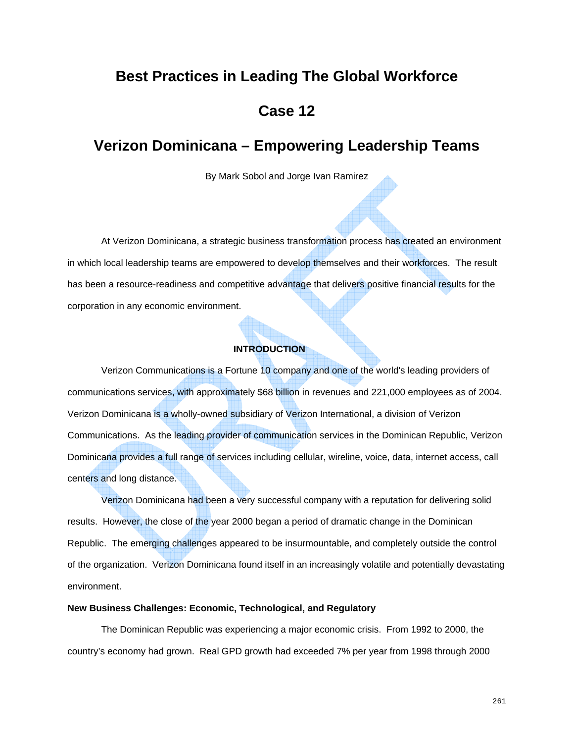# **Best Practices in Leading The Global Workforce**

# **Case 12**

# **Verizon Dominicana – Empowering Leadership Teams**

By Mark Sobol and Jorge Ivan Ramirez

At Verizon Dominicana, a strategic business transformation process has created an environment in which local leadership teams are empowered to develop themselves and their workforces. The result has been a resource-readiness and competitive advantage that delivers positive financial results for the corporation in any economic environment.

# **INTRODUCTION**

Verizon Communications is a Fortune 10 company and one of the world's leading providers of communications services, with approximately \$68 billion in revenues and 221,000 employees as of 2004. Verizon Dominicana is a wholly-owned subsidiary of Verizon International, a division of Verizon Communications. As the leading provider of communication services in the Dominican Republic, Verizon Dominicana provides a full range of services including cellular, wireline, voice, data, internet access, call centers and long distance.

Verizon Dominicana had been a very successful company with a reputation for delivering solid results. However, the close of the year 2000 began a period of dramatic change in the Dominican Republic. The emerging challenges appeared to be insurmountable, and completely outside the control of the organization. Verizon Dominicana found itself in an increasingly volatile and potentially devastating environment.

# **New Business Challenges: Economic, Technological, and Regulatory**

The Dominican Republic was experiencing a major economic crisis. From 1992 to 2000, the country's economy had grown. Real GPD growth had exceeded 7% per year from 1998 through 2000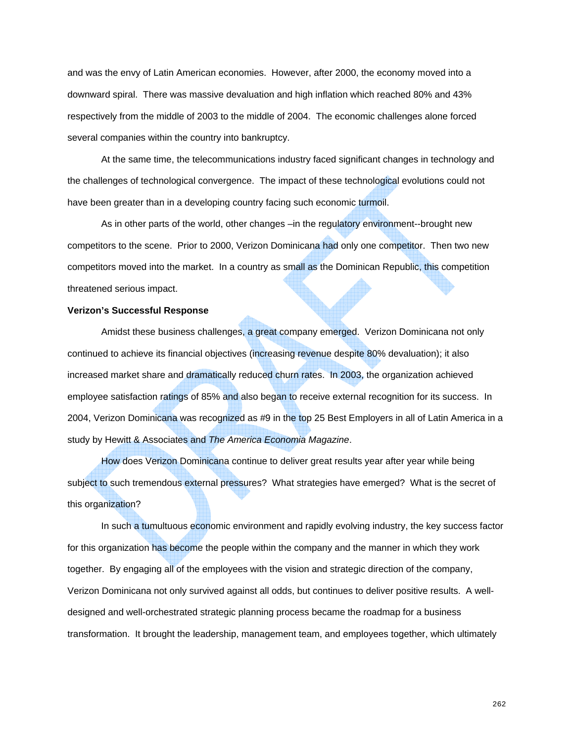and was the envy of Latin American economies. However, after 2000, the economy moved into a downward spiral. There was massive devaluation and high inflation which reached 80% and 43% respectively from the middle of 2003 to the middle of 2004. The economic challenges alone forced several companies within the country into bankruptcy.

At the same time, the telecommunications industry faced significant changes in technology and the challenges of technological convergence. The impact of these technological evolutions could not have been greater than in a developing country facing such economic turmoil.

As in other parts of the world, other changes –in the regulatory environment--brought new competitors to the scene. Prior to 2000, Verizon Dominicana had only one competitor. Then two new competitors moved into the market. In a country as small as the Dominican Republic, this competition threatened serious impact.

## **Verizon's Successful Response**

Amidst these business challenges, a great company emerged. Verizon Dominicana not only continued to achieve its financial objectives (increasing revenue despite 80% devaluation); it also increased market share and dramatically reduced churn rates. In 2003, the organization achieved employee satisfaction ratings of 85% and also began to receive external recognition for its success. In 2004, Verizon Dominicana was recognized as #9 in the top 25 Best Employers in all of Latin America in a study by Hewitt & Associates and *The America Economia Magazine*.

How does Verizon Dominicana continue to deliver great results year after year while being subject to such tremendous external pressures? What strategies have emerged? What is the secret of this organization?

In such a tumultuous economic environment and rapidly evolving industry, the key success factor for this organization has become the people within the company and the manner in which they work together. By engaging all of the employees with the vision and strategic direction of the company, Verizon Dominicana not only survived against all odds, but continues to deliver positive results. A welldesigned and well-orchestrated strategic planning process became the roadmap for a business transformation. It brought the leadership, management team, and employees together, which ultimately

262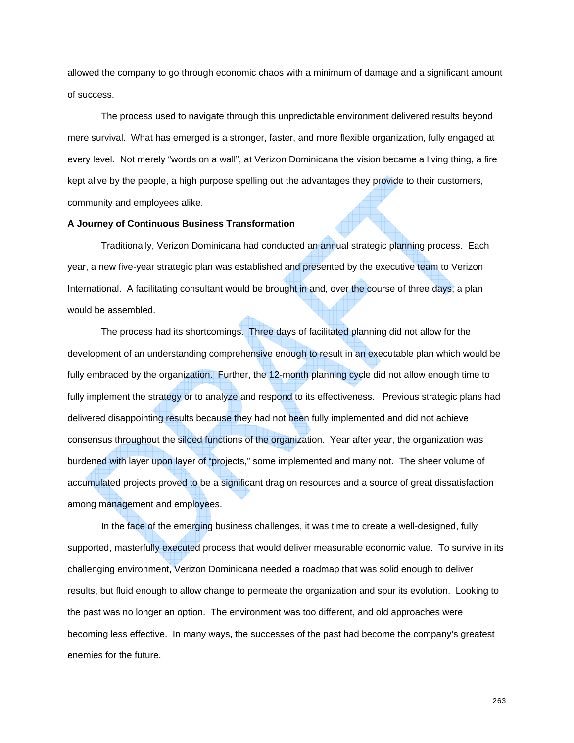allowed the company to go through economic chaos with a minimum of damage and a significant amount of success.

The process used to navigate through this unpredictable environment delivered results beyond mere survival. What has emerged is a stronger, faster, and more flexible organization, fully engaged at every level. Not merely "words on a wall", at Verizon Dominicana the vision became a living thing, a fire kept alive by the people, a high purpose spelling out the advantages they provide to their customers, community and employees alike.

## **A Journey of Continuous Business Transformation**

Traditionally, Verizon Dominicana had conducted an annual strategic planning process. Each year, a new five-year strategic plan was established and presented by the executive team to Verizon International. A facilitating consultant would be brought in and, over the course of three days, a plan would be assembled.

The process had its shortcomings. Three days of facilitated planning did not allow for the development of an understanding comprehensive enough to result in an executable plan which would be fully embraced by the organization. Further, the 12-month planning cycle did not allow enough time to fully implement the strategy or to analyze and respond to its effectiveness. Previous strategic plans had delivered disappointing results because they had not been fully implemented and did not achieve consensus throughout the siloed functions of the organization. Year after year, the organization was burdened with layer upon layer of "projects," some implemented and many not. The sheer volume of accumulated projects proved to be a significant drag on resources and a source of great dissatisfaction among management and employees.

In the face of the emerging business challenges, it was time to create a well-designed, fully supported, masterfully executed process that would deliver measurable economic value. To survive in its challenging environment, Verizon Dominicana needed a roadmap that was solid enough to deliver results, but fluid enough to allow change to permeate the organization and spur its evolution. Looking to the past was no longer an option. The environment was too different, and old approaches were becoming less effective. In many ways, the successes of the past had become the company's greatest enemies for the future.

<sup>263</sup>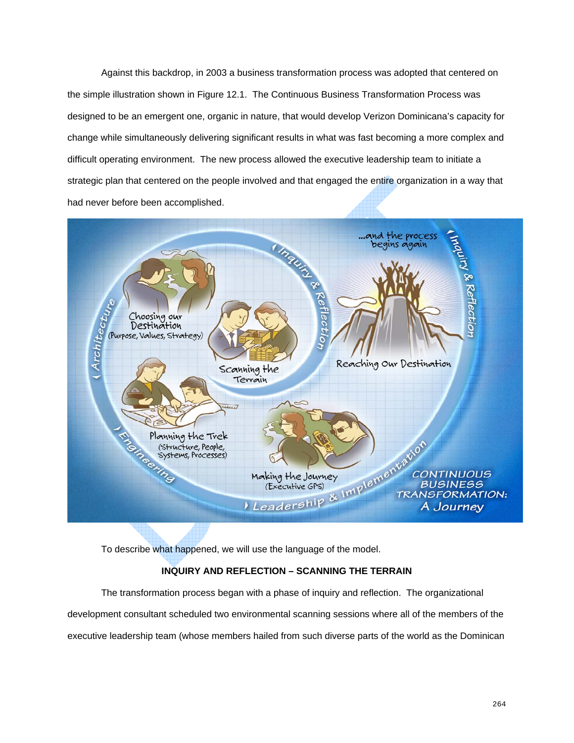Against this backdrop, in 2003 a business transformation process was adopted that centered on the simple illustration shown in Figure 12.1. The Continuous Business Transformation Process was designed to be an emergent one, organic in nature, that would develop Verizon Dominicana's capacity for change while simultaneously delivering significant results in what was fast becoming a more complex and difficult operating environment. The new process allowed the executive leadership team to initiate a strategic plan that centered on the people involved and that engaged the entire organization in a way that had never before been accomplished.



To describe what happened, we will use the language of the model.

# **INQUIRY AND REFLECTION – SCANNING THE TERRAIN**

The transformation process began with a phase of inquiry and reflection. The organizational development consultant scheduled two environmental scanning sessions where all of the members of the executive leadership team (whose members hailed from such diverse parts of the world as the Dominican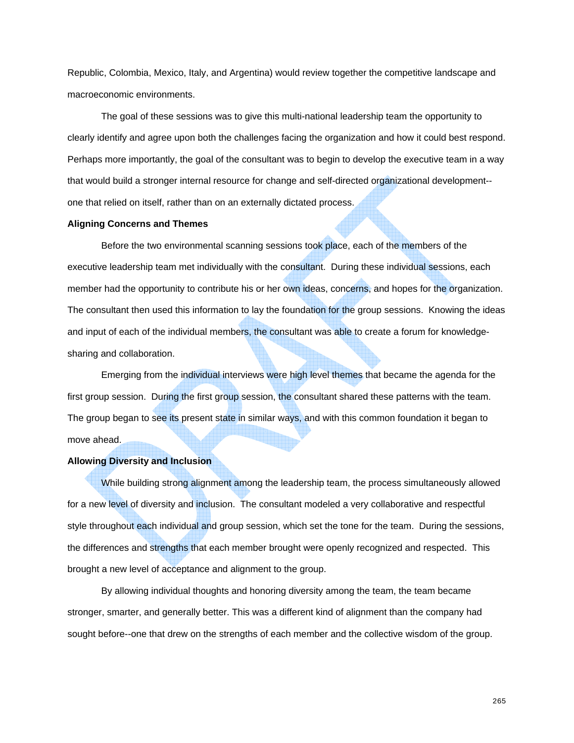Republic, Colombia, Mexico, Italy, and Argentina) would review together the competitive landscape and macroeconomic environments.

The goal of these sessions was to give this multi-national leadership team the opportunity to clearly identify and agree upon both the challenges facing the organization and how it could best respond. Perhaps more importantly, the goal of the consultant was to begin to develop the executive team in a way that would build a stronger internal resource for change and self-directed organizational development- one that relied on itself, rather than on an externally dictated process.

#### **Aligning Concerns and Themes**

Before the two environmental scanning sessions took place, each of the members of the executive leadership team met individually with the consultant. During these individual sessions, each member had the opportunity to contribute his or her own ideas, concerns, and hopes for the organization. The consultant then used this information to lay the foundation for the group sessions. Knowing the ideas and input of each of the individual members, the consultant was able to create a forum for knowledgesharing and collaboration.

Emerging from the individual interviews were high level themes that became the agenda for the first group session. During the first group session, the consultant shared these patterns with the team. The group began to see its present state in similar ways, and with this common foundation it began to move ahead.

## **Allowing Diversity and Inclusion**

While building strong alignment among the leadership team, the process simultaneously allowed for a new level of diversity and inclusion. The consultant modeled a very collaborative and respectful style throughout each individual and group session, which set the tone for the team. During the sessions, the differences and strengths that each member brought were openly recognized and respected. This brought a new level of acceptance and alignment to the group.

By allowing individual thoughts and honoring diversity among the team, the team became stronger, smarter, and generally better. This was a different kind of alignment than the company had sought before--one that drew on the strengths of each member and the collective wisdom of the group.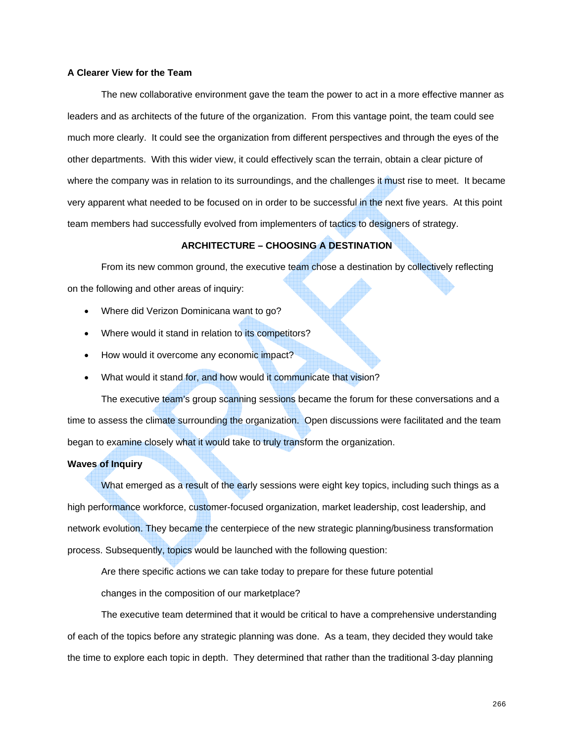# **A Clearer View for the Team**

The new collaborative environment gave the team the power to act in a more effective manner as leaders and as architects of the future of the organization. From this vantage point, the team could see much more clearly. It could see the organization from different perspectives and through the eyes of the other departments. With this wider view, it could effectively scan the terrain, obtain a clear picture of where the company was in relation to its surroundings, and the challenges it must rise to meet. It became very apparent what needed to be focused on in order to be successful in the next five years. At this point team members had successfully evolved from implementers of tactics to designers of strategy.

# **ARCHITECTURE – CHOOSING A DESTINATION**

From its new common ground, the executive team chose a destination by collectively reflecting on the following and other areas of inquiry:

- Where did Verizon Dominicana want to go?
- Where would it stand in relation to its competitors?
- How would it overcome any economic impact?
- What would it stand for, and how would it communicate that vision?

The executive team's group scanning sessions became the forum for these conversations and a time to assess the climate surrounding the organization. Open discussions were facilitated and the team began to examine closely what it would take to truly transform the organization.

# **Waves of Inquiry**

What emerged as a result of the early sessions were eight key topics, including such things as a high performance workforce, customer-focused organization, market leadership, cost leadership, and network evolution. They became the centerpiece of the new strategic planning/business transformation process. Subsequently, topics would be launched with the following question:

Are there specific actions we can take today to prepare for these future potential

changes in the composition of our marketplace?

The executive team determined that it would be critical to have a comprehensive understanding of each of the topics before any strategic planning was done. As a team, they decided they would take the time to explore each topic in depth. They determined that rather than the traditional 3-day planning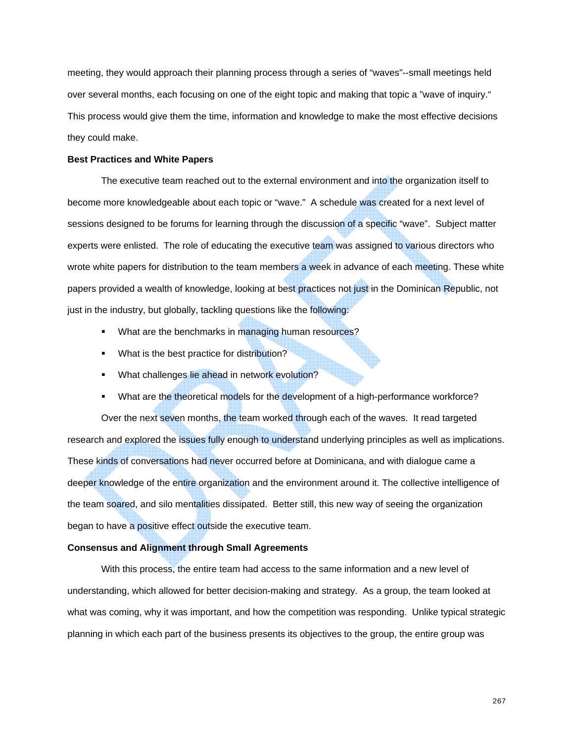meeting, they would approach their planning process through a series of "waves"--small meetings held over several months, each focusing on one of the eight topic and making that topic a "wave of inquiry." This process would give them the time, information and knowledge to make the most effective decisions they could make.

### **Best Practices and White Papers**

The executive team reached out to the external environment and into the organization itself to become more knowledgeable about each topic or "wave." A schedule was created for a next level of sessions designed to be forums for learning through the discussion of a specific "wave". Subject matter experts were enlisted. The role of educating the executive team was assigned to various directors who wrote white papers for distribution to the team members a week in advance of each meeting. These white papers provided a wealth of knowledge, looking at best practices not just in the Dominican Republic, not just in the industry, but globally, tackling questions like the following:

- What are the benchmarks in managing human resources?
- **What is the best practice for distribution?**
- **What challenges lie ahead in network evolution?**
- What are the theoretical models for the development of a high-performance workforce?

Over the next seven months, the team worked through each of the waves. It read targeted research and explored the issues fully enough to understand underlying principles as well as implications. These kinds of conversations had never occurred before at Dominicana, and with dialogue came a deeper knowledge of the entire organization and the environment around it. The collective intelligence of the team soared, and silo mentalities dissipated. Better still, this new way of seeing the organization began to have a positive effect outside the executive team.

## **Consensus and Alignment through Small Agreements**

With this process, the entire team had access to the same information and a new level of understanding, which allowed for better decision-making and strategy. As a group, the team looked at what was coming, why it was important, and how the competition was responding. Unlike typical strategic planning in which each part of the business presents its objectives to the group, the entire group was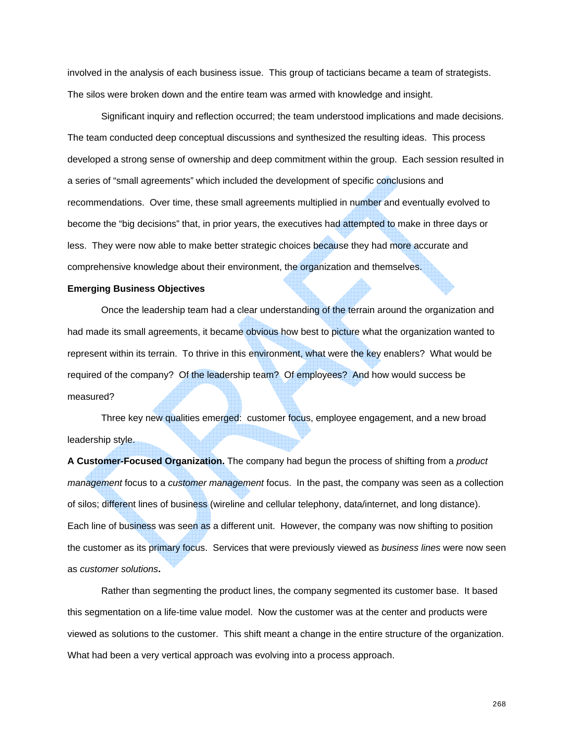involved in the analysis of each business issue. This group of tacticians became a team of strategists. The silos were broken down and the entire team was armed with knowledge and insight.

Significant inquiry and reflection occurred; the team understood implications and made decisions. The team conducted deep conceptual discussions and synthesized the resulting ideas. This process developed a strong sense of ownership and deep commitment within the group. Each session resulted in a series of "small agreements" which included the development of specific conclusions and recommendations. Over time, these small agreements multiplied in number and eventually evolved to become the "big decisions" that, in prior years, the executives had attempted to make in three days or less. They were now able to make better strategic choices because they had more accurate and comprehensive knowledge about their environment, the organization and themselves.

# **Emerging Business Objectives**

Once the leadership team had a clear understanding of the terrain around the organization and had made its small agreements, it became obvious how best to picture what the organization wanted to represent within its terrain. To thrive in this environment, what were the key enablers? What would be required of the company? Of the leadership team? Of employees? And how would success be measured?

Three key new qualities emerged: customer focus, employee engagement, and a new broad leadership style.

**A Customer-Focused Organization.** The company had begun the process of shifting from a *product management* focus to a *customer management* focus. In the past, the company was seen as a collection of silos; different lines of business (wireline and cellular telephony, data/internet, and long distance). Each line of business was seen as a different unit. However, the company was now shifting to position the customer as its primary focus. Services that were previously viewed as *business lines* were now seen as *customer solutions***.** 

Rather than segmenting the product lines, the company segmented its customer base. It based this segmentation on a life-time value model. Now the customer was at the center and products were viewed as solutions to the customer. This shift meant a change in the entire structure of the organization. What had been a very vertical approach was evolving into a process approach.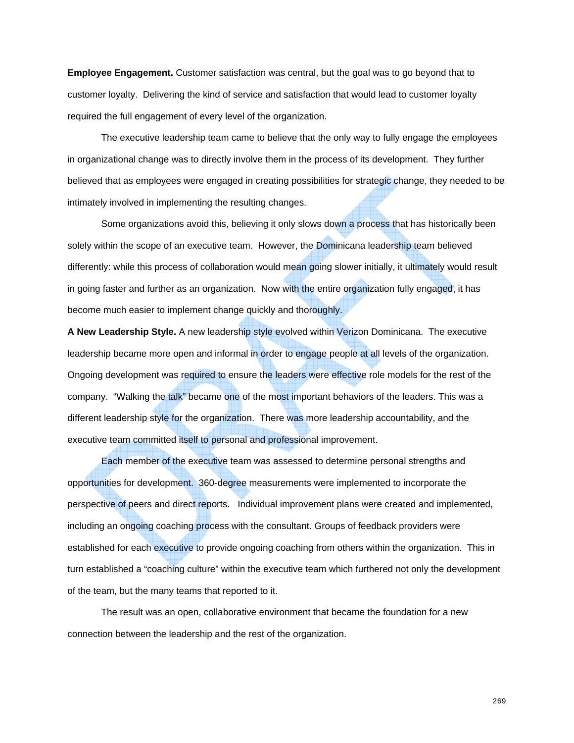**Employee Engagement.** Customer satisfaction was central, but the goal was to go beyond that to customer loyalty. Delivering the kind of service and satisfaction that would lead to customer loyalty required the full engagement of every level of the organization.

The executive leadership team came to believe that the only way to fully engage the employees in organizational change was to directly involve them in the process of its development. They further believed that as employees were engaged in creating possibilities for strategic change, they needed to be intimately involved in implementing the resulting changes.

Some organizations avoid this, believing it only slows down a process that has historically been solely within the scope of an executive team. However, the Dominicana leadership team believed differently: while this process of collaboration would mean going slower initially, it ultimately would result in going faster and further as an organization. Now with the entire organization fully engaged, it has become much easier to implement change quickly and thoroughly.

**A New Leadership Style.** A new leadership style evolved within Verizon Dominicana. The executive leadership became more open and informal in order to engage people at all levels of the organization. Ongoing development was required to ensure the leaders were effective role models for the rest of the company. "Walking the talk" became one of the most important behaviors of the leaders. This was a different leadership style for the organization. There was more leadership accountability, and the executive team committed itself to personal and professional improvement.

Each member of the executive team was assessed to determine personal strengths and opportunities for development. 360-degree measurements were implemented to incorporate the perspective of peers and direct reports. Individual improvement plans were created and implemented, including an ongoing coaching process with the consultant. Groups of feedback providers were established for each executive to provide ongoing coaching from others within the organization. This in turn established a "coaching culture" within the executive team which furthered not only the development of the team, but the many teams that reported to it.

The result was an open, collaborative environment that became the foundation for a new connection between the leadership and the rest of the organization.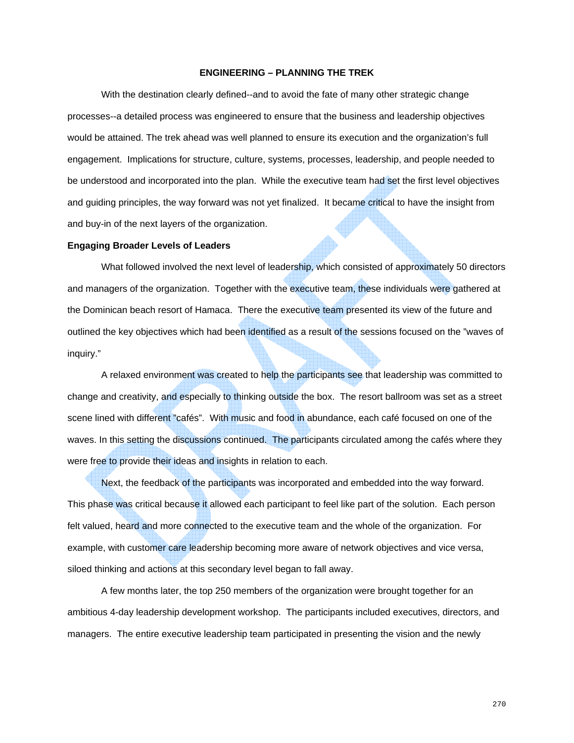## **ENGINEERING – PLANNING THE TREK**

With the destination clearly defined--and to avoid the fate of many other strategic change processes--a detailed process was engineered to ensure that the business and leadership objectives would be attained. The trek ahead was well planned to ensure its execution and the organization's full engagement. Implications for structure, culture, systems, processes, leadership, and people needed to be understood and incorporated into the plan. While the executive team had set the first level objectives and guiding principles, the way forward was not yet finalized. It became critical to have the insight from and buy-in of the next layers of the organization.

#### **Engaging Broader Levels of Leaders**

What followed involved the next level of leadership, which consisted of approximately 50 directors and managers of the organization. Together with the executive team, these individuals were gathered at the Dominican beach resort of Hamaca. There the executive team presented its view of the future and outlined the key objectives which had been identified as a result of the sessions focused on the "waves of inquiry."

A relaxed environment was created to help the participants see that leadership was committed to change and creativity, and especially to thinking outside the box. The resort ballroom was set as a street scene lined with different "cafés". With music and food in abundance, each café focused on one of the waves. In this setting the discussions continued. The participants circulated among the cafés where they were free to provide their ideas and insights in relation to each.

Next, the feedback of the participants was incorporated and embedded into the way forward. This phase was critical because it allowed each participant to feel like part of the solution. Each person felt valued, heard and more connected to the executive team and the whole of the organization. For example, with customer care leadership becoming more aware of network objectives and vice versa, siloed thinking and actions at this secondary level began to fall away.

A few months later, the top 250 members of the organization were brought together for an ambitious 4-day leadership development workshop. The participants included executives, directors, and managers. The entire executive leadership team participated in presenting the vision and the newly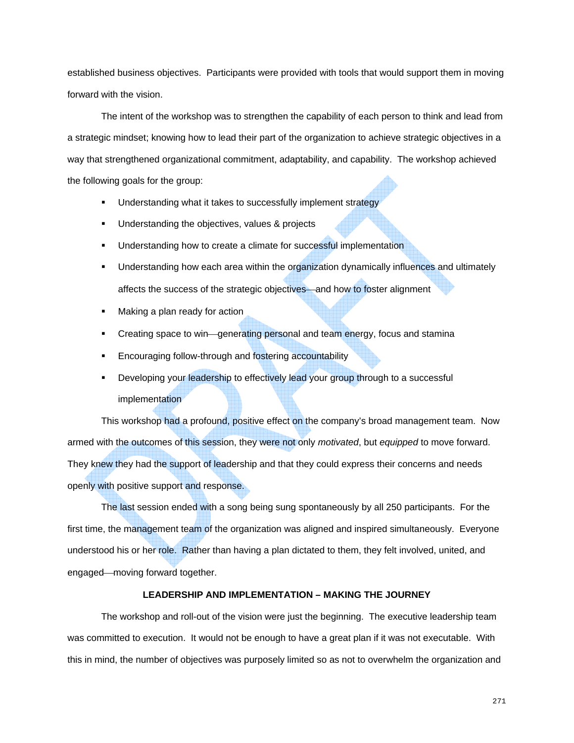established business objectives. Participants were provided with tools that would support them in moving forward with the vision.

The intent of the workshop was to strengthen the capability of each person to think and lead from a strategic mindset; knowing how to lead their part of the organization to achieve strategic objectives in a way that strengthened organizational commitment, adaptability, and capability. The workshop achieved the following goals for the group:

- **Understanding what it takes to successfully implement strategy**
- **Understanding the objectives, values & projects**
- Understanding how to create a climate for successful implementation
- Understanding how each area within the organization dynamically influences and ultimately affects the success of the strategic objectives—and how to foster alignment
- Making a plan ready for action
- Creating space to win—generating personal and team energy, focus and stamina
- **Encouraging follow-through and fostering accountability**
- Developing your leadership to effectively lead your group through to a successful implementation

This workshop had a profound, positive effect on the company's broad management team. Now armed with the outcomes of this session, they were not only *motivated*, but *equipped* to move forward. They knew they had the support of leadership and that they could express their concerns and needs openly with positive support and response.

The last session ended with a song being sung spontaneously by all 250 participants. For the first time, the management team of the organization was aligned and inspired simultaneously. Everyone understood his or her role. Rather than having a plan dictated to them, they felt involved, united, and engaged—moving forward together.

#### **LEADERSHIP AND IMPLEMENTATION – MAKING THE JOURNEY**

The workshop and roll-out of the vision were just the beginning. The executive leadership team was committed to execution. It would not be enough to have a great plan if it was not executable. With this in mind, the number of objectives was purposely limited so as not to overwhelm the organization and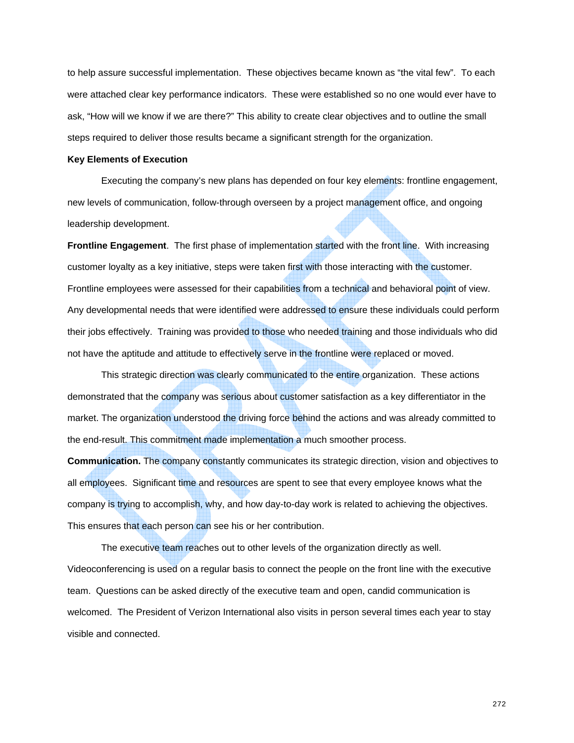to help assure successful implementation. These objectives became known as "the vital few". To each were attached clear key performance indicators. These were established so no one would ever have to ask, "How will we know if we are there?" This ability to create clear objectives and to outline the small steps required to deliver those results became a significant strength for the organization.

#### **Key Elements of Execution**

Executing the company's new plans has depended on four key elements: frontline engagement, new levels of communication, follow-through overseen by a project management office, and ongoing leadership development.

**Frontline Engagement**. The first phase of implementation started with the front line. With increasing customer loyalty as a key initiative, steps were taken first with those interacting with the customer. Frontline employees were assessed for their capabilities from a technical and behavioral point of view. Any developmental needs that were identified were addressed to ensure these individuals could perform their jobs effectively. Training was provided to those who needed training and those individuals who did not have the aptitude and attitude to effectively serve in the frontline were replaced or moved.

This strategic direction was clearly communicated to the entire organization. These actions demonstrated that the company was serious about customer satisfaction as a key differentiator in the market. The organization understood the driving force behind the actions and was already committed to the end-result. This commitment made implementation a much smoother process.

**Communication.** The company constantly communicates its strategic direction, vision and objectives to all employees. Significant time and resources are spent to see that every employee knows what the company is trying to accomplish, why, and how day-to-day work is related to achieving the objectives. This ensures that each person can see his or her contribution.

The executive team reaches out to other levels of the organization directly as well. Videoconferencing is used on a regular basis to connect the people on the front line with the executive team. Questions can be asked directly of the executive team and open, candid communication is welcomed. The President of Verizon International also visits in person several times each year to stay visible and connected.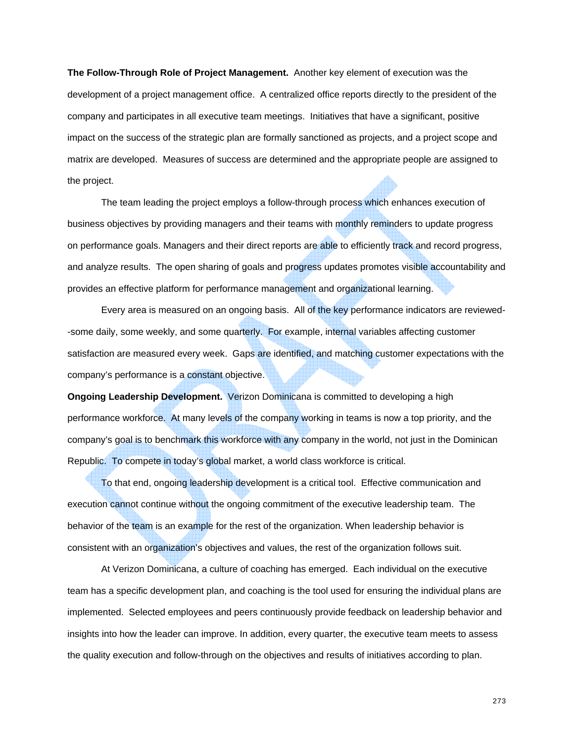**The Follow-Through Role of Project Management.** Another key element of execution was the development of a project management office. A centralized office reports directly to the president of the company and participates in all executive team meetings. Initiatives that have a significant, positive impact on the success of the strategic plan are formally sanctioned as projects, and a project scope and matrix are developed. Measures of success are determined and the appropriate people are assigned to the project.

The team leading the project employs a follow-through process which enhances execution of business objectives by providing managers and their teams with monthly reminders to update progress on performance goals. Managers and their direct reports are able to efficiently track and record progress, and analyze results. The open sharing of goals and progress updates promotes visible accountability and provides an effective platform for performance management and organizational learning.

Every area is measured on an ongoing basis. All of the key performance indicators are reviewed- -some daily, some weekly, and some quarterly. For example, internal variables affecting customer satisfaction are measured every week. Gaps are identified, and matching customer expectations with the company's performance is a constant objective.

**Ongoing Leadership Development.** Verizon Dominicana is committed to developing a high performance workforce. At many levels of the company working in teams is now a top priority, and the company's goal is to benchmark this workforce with any company in the world, not just in the Dominican Republic. To compete in today's global market, a world class workforce is critical.

To that end, ongoing leadership development is a critical tool. Effective communication and execution cannot continue without the ongoing commitment of the executive leadership team. The behavior of the team is an example for the rest of the organization. When leadership behavior is consistent with an organization's objectives and values, the rest of the organization follows suit.

At Verizon Dominicana, a culture of coaching has emerged. Each individual on the executive team has a specific development plan, and coaching is the tool used for ensuring the individual plans are implemented. Selected employees and peers continuously provide feedback on leadership behavior and insights into how the leader can improve. In addition, every quarter, the executive team meets to assess the quality execution and follow-through on the objectives and results of initiatives according to plan.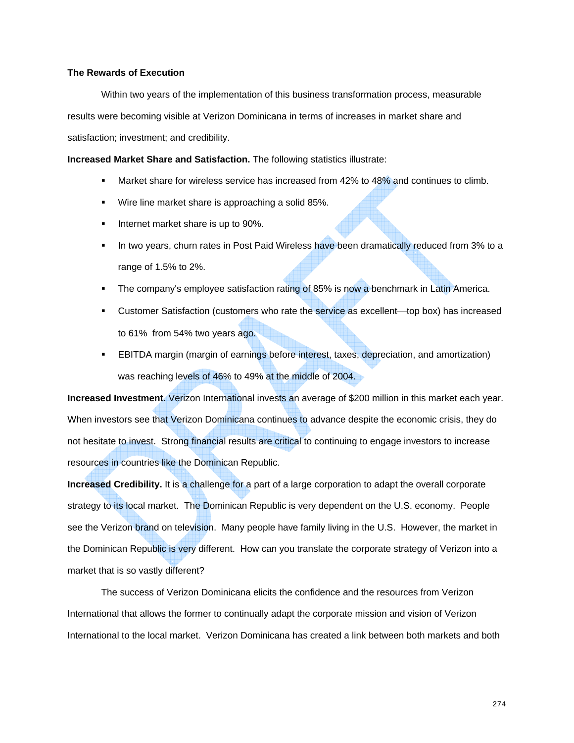# **The Rewards of Execution**

Within two years of the implementation of this business transformation process, measurable results were becoming visible at Verizon Dominicana in terms of increases in market share and satisfaction; investment; and credibility.

**Increased Market Share and Satisfaction.** The following statistics illustrate:

- **Market share for wireless service has increased from 42% to 48% and continues to climb.**
- Wire line market share is approaching a solid 85%.
- Internet market share is up to 90%.
- In two years, churn rates in Post Paid Wireless have been dramatically reduced from 3% to a range of 1.5% to 2%.
- **The company's employee satisfaction rating of 85% is now a benchmark in Latin America.**
- **EXECUST CUST CONTER 1** Customers who rate the service as excellent—top box) has increased to 61% from 54% two years ago.
- EBITDA margin (margin of earnings before interest, taxes, depreciation, and amortization) was reaching levels of 46% to 49% at the middle of 2004.

**Increased Investment**. Verizon International invests an average of \$200 million in this market each year. When investors see that Verizon Dominicana continues to advance despite the economic crisis, they do not hesitate to invest. Strong financial results are critical to continuing to engage investors to increase resources in countries like the Dominican Republic.

**Increased Credibility.** It is a challenge for a part of a large corporation to adapt the overall corporate strategy to its local market. The Dominican Republic is very dependent on the U.S. economy. People see the Verizon brand on television. Many people have family living in the U.S. However, the market in the Dominican Republic is very different. How can you translate the corporate strategy of Verizon into a market that is so vastly different?

The success of Verizon Dominicana elicits the confidence and the resources from Verizon International that allows the former to continually adapt the corporate mission and vision of Verizon International to the local market. Verizon Dominicana has created a link between both markets and both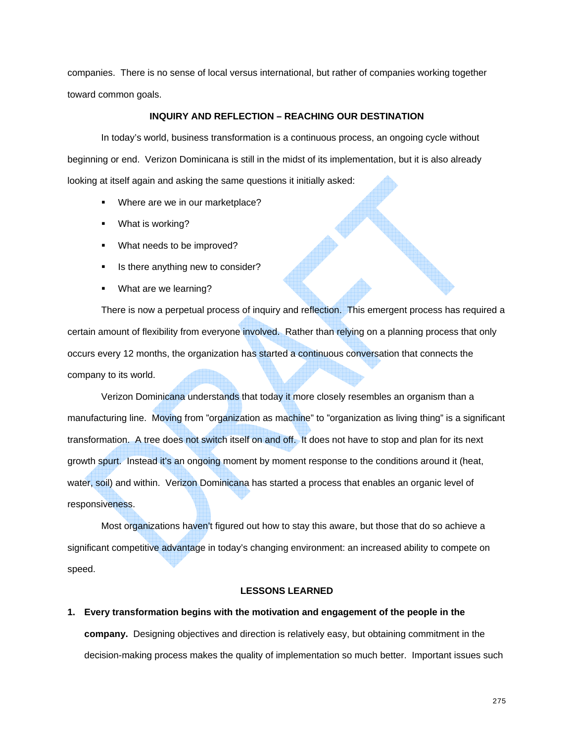companies. There is no sense of local versus international, but rather of companies working together toward common goals.

## **INQUIRY AND REFLECTION – REACHING OUR DESTINATION**

In today's world, business transformation is a continuous process, an ongoing cycle without beginning or end. Verizon Dominicana is still in the midst of its implementation, but it is also already looking at itself again and asking the same questions it initially asked:

- Where are we in our marketplace?
- **What is working?**
- **What needs to be improved?**
- $\blacksquare$  Is there anything new to consider?
- **What are we learning?**

There is now a perpetual process of inquiry and reflection. This emergent process has required a certain amount of flexibility from everyone involved. Rather than relying on a planning process that only occurs every 12 months, the organization has started a continuous conversation that connects the company to its world.

Verizon Dominicana understands that today it more closely resembles an organism than a manufacturing line. Moving from "organization as machine" to "organization as living thing" is a significant transformation. A tree does not switch itself on and off. It does not have to stop and plan for its next growth spurt. Instead it's an ongoing moment by moment response to the conditions around it (heat, water, soil) and within. Verizon Dominicana has started a process that enables an organic level of responsiveness.

Most organizations haven't figured out how to stay this aware, but those that do so achieve a significant competitive advantage in today's changing environment: an increased ability to compete on speed.

# **LESSONS LEARNED**

#### **1. Every transformation begins with the motivation and engagement of the people in the**

**company.** Designing objectives and direction is relatively easy, but obtaining commitment in the decision-making process makes the quality of implementation so much better. Important issues such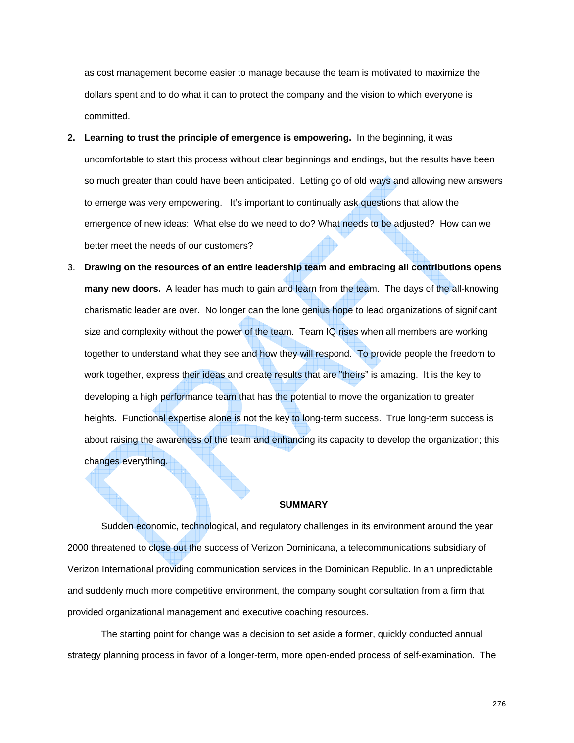as cost management become easier to manage because the team is motivated to maximize the dollars spent and to do what it can to protect the company and the vision to which everyone is committed.

- **2. Learning to trust the principle of emergence is empowering.** In the beginning, it was uncomfortable to start this process without clear beginnings and endings, but the results have been so much greater than could have been anticipated. Letting go of old ways and allowing new answers to emerge was very empowering. It's important to continually ask questions that allow the emergence of new ideas: What else do we need to do? What needs to be adjusted? How can we better meet the needs of our customers?
- 3. **Drawing on the resources of an entire leadership team and embracing all contributions opens many new doors.** A leader has much to gain and learn from the team. The days of the all-knowing charismatic leader are over. No longer can the lone genius hope to lead organizations of significant size and complexity without the power of the team. Team IQ rises when all members are working together to understand what they see and how they will respond. To provide people the freedom to work together, express their ideas and create results that are "theirs" is amazing. It is the key to developing a high performance team that has the potential to move the organization to greater heights. Functional expertise alone is not the key to long-term success. True long-term success is about raising the awareness of the team and enhancing its capacity to develop the organization; this changes everything.

#### **SUMMARY**

Sudden economic, technological, and regulatory challenges in its environment around the year 2000 threatened to close out the success of Verizon Dominicana, a telecommunications subsidiary of Verizon International providing communication services in the Dominican Republic. In an unpredictable and suddenly much more competitive environment, the company sought consultation from a firm that provided organizational management and executive coaching resources.

The starting point for change was a decision to set aside a former, quickly conducted annual strategy planning process in favor of a longer-term, more open-ended process of self-examination. The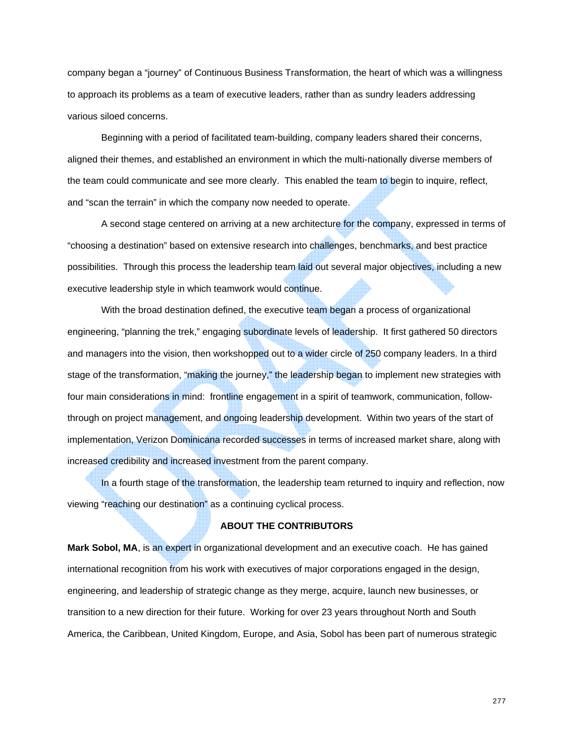company began a "journey" of Continuous Business Transformation, the heart of which was a willingness to approach its problems as a team of executive leaders, rather than as sundry leaders addressing various siloed concerns.

Beginning with a period of facilitated team-building, company leaders shared their concerns, aligned their themes, and established an environment in which the multi-nationally diverse members of the team could communicate and see more clearly. This enabled the team to begin to inquire, reflect, and "scan the terrain" in which the company now needed to operate.

A second stage centered on arriving at a new architecture for the company, expressed in terms of "choosing a destination" based on extensive research into challenges, benchmarks, and best practice possibilities. Through this process the leadership team laid out several major objectives, including a new executive leadership style in which teamwork would continue.

With the broad destination defined, the executive team began a process of organizational engineering, "planning the trek," engaging subordinate levels of leadership. It first gathered 50 directors and managers into the vision, then workshopped out to a wider circle of 250 company leaders. In a third stage of the transformation, "making the journey," the leadership began to implement new strategies with four main considerations in mind: frontline engagement in a spirit of teamwork, communication, followthrough on project management, and ongoing leadership development. Within two years of the start of implementation, Verizon Dominicana recorded successes in terms of increased market share, along with increased credibility and increased investment from the parent company.

In a fourth stage of the transformation, the leadership team returned to inquiry and reflection, now viewing "reaching our destination" as a continuing cyclical process.

# **ABOUT THE CONTRIBUTORS**

**Mark Sobol, MA**, is an expert in organizational development and an executive coach. He has gained international recognition from his work with executives of major corporations engaged in the design, engineering, and leadership of strategic change as they merge, acquire, launch new businesses, or transition to a new direction for their future. Working for over 23 years throughout North and South America, the Caribbean, United Kingdom, Europe, and Asia, Sobol has been part of numerous strategic